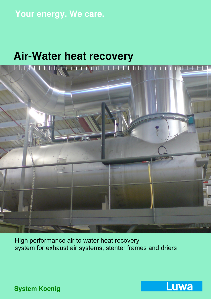## **Your energy. We care.**

# **Air-Water heat recovery**

<u>Müh**A**rhihili, ihihi</u>ni

High performance air to water heat recovery system for exhaust air systems, stenter frames and driers

Luwa

**System Koenig**